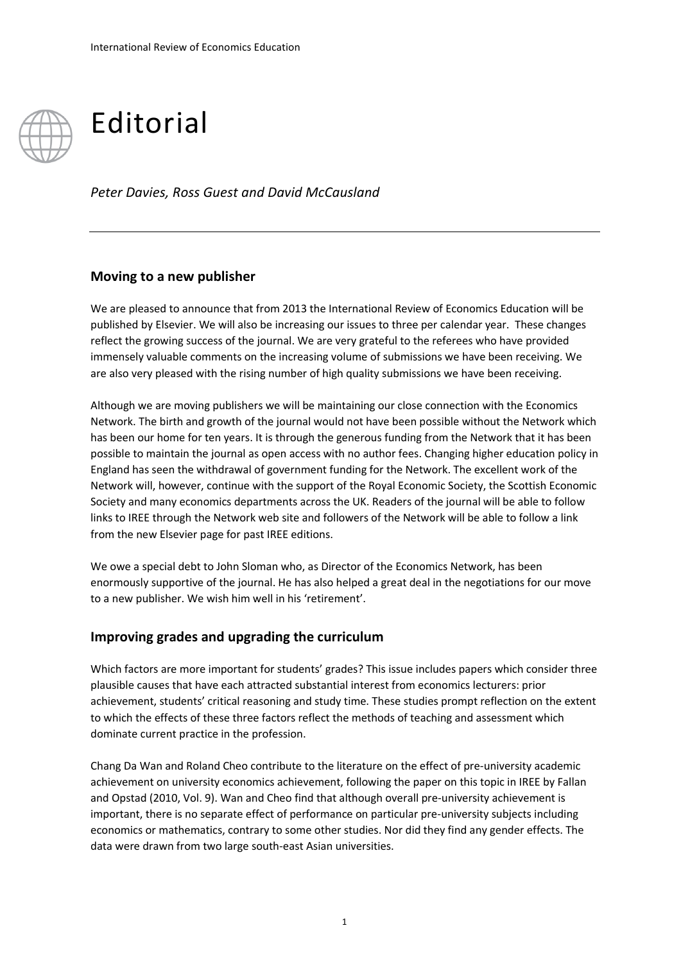

## Editorial

*Peter Davies, Ross Guest and David McCausland*

## **Moving to a new publisher**

We are pleased to announce that from 2013 the International Review of Economics Education will be published by Elsevier. We will also be increasing our issues to three per calendar year. These changes reflect the growing success of the journal. We are very grateful to the referees who have provided immensely valuable comments on the increasing volume of submissions we have been receiving. We are also very pleased with the rising number of high quality submissions we have been receiving.

Although we are moving publishers we will be maintaining our close connection with the Economics Network. The birth and growth of the journal would not have been possible without the Network which has been our home for ten years. It is through the generous funding from the Network that it has been possible to maintain the journal as open access with no author fees. Changing higher education policy in England has seen the withdrawal of government funding for the Network. The excellent work of the Network will, however, continue with the support of the Royal Economic Society, the Scottish Economic Society and many economics departments across the UK. Readers of the journal will be able to follow links to IREE through the Network web site and followers of the Network will be able to follow a link from the new Elsevier page for past IREE editions.

We owe a special debt to John Sloman who, as Director of the Economics Network, has been enormously supportive of the journal. He has also helped a great deal in the negotiations for our move to a new publisher. We wish him well in his 'retirement'.

## **Improving grades and upgrading the curriculum**

Which factors are more important for students' grades? This issue includes papers which consider three plausible causes that have each attracted substantial interest from economics lecturers: prior achievement, students' critical reasoning and study time. These studies prompt reflection on the extent to which the effects of these three factors reflect the methods of teaching and assessment which dominate current practice in the profession.

Chang Da Wan and Roland Cheo contribute to the literature on the effect of pre-university academic achievement on university economics achievement, following the paper on this topic in IREE by Fallan and Opstad (2010, Vol. 9). Wan and Cheo find that although overall pre-university achievement is important, there is no separate effect of performance on particular pre-university subjects including economics or mathematics, contrary to some other studies. Nor did they find any gender effects. The data were drawn from two large south-east Asian universities.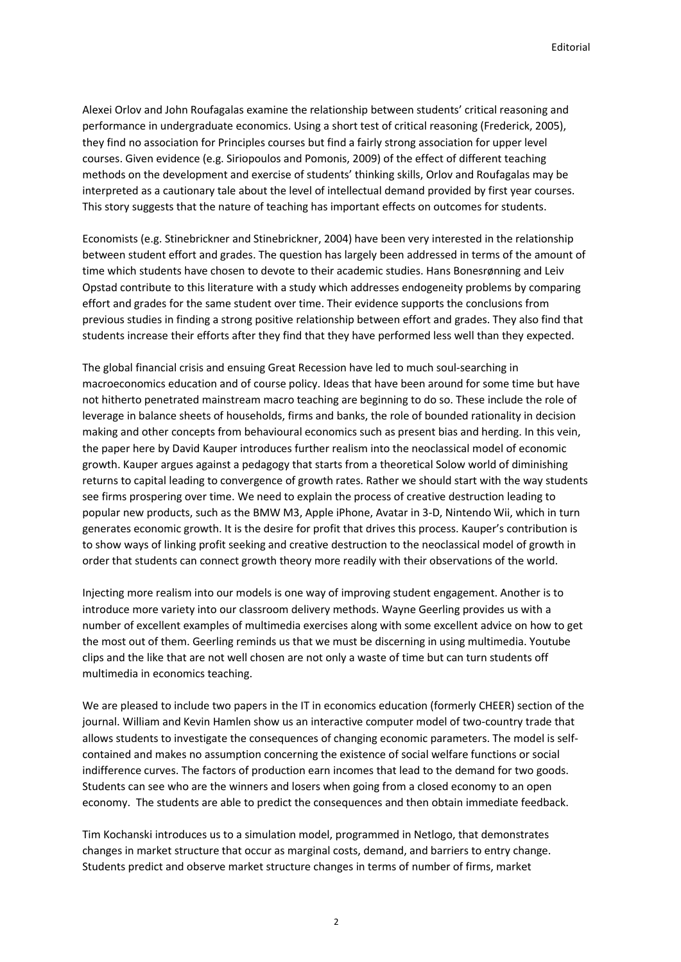[Alexei Orlov](http://www.epress.ac.uk/src/people_view.php?person_id=434) an[d John Roufagalas](http://www.epress.ac.uk/src/people_view.php?person_id=435) examine the relationship between students' critical reasoning and performance in undergraduate economics. Using a short test of critical reasoning (Frederick, 2005), they find no association for Principles courses but find a fairly strong association for upper level courses. Given evidence (e.g. Siriopoulos and Pomonis, 2009) of the effect of different teaching methods on the development and exercise of students' thinking skills, [Orlov](http://www.epress.ac.uk/src/people_view.php?person_id=434) an[d Roufagalas](http://www.epress.ac.uk/src/people_view.php?person_id=435) may be interpreted as a cautionary tale about the level of intellectual demand provided by first year courses. This story suggests that the nature of teaching has important effects on outcomes for students.

Economists (e.g. Stinebrickner and Stinebrickner, 2004) have been very interested in the relationship between student effort and grades. The question has largely been addressed in terms of the amount of time which students have chosen to devote to their academic studies[. Hans Bonesrønning](http://www.epress.ac.uk/src/people_view.php?person_id=421) an[d Leiv](http://www.epress.ac.uk/src/people_view.php?person_id=290)  [Opstad](http://www.epress.ac.uk/src/people_view.php?person_id=290) contribute to this literature with a study which addresses endogeneity problems by comparing effort and grades for the same student over time. Their evidence supports the conclusions from previous studies in finding a strong positive relationship between effort and grades. They also find that students increase their efforts after they find that they have performed less well than they expected.

The global financial crisis and ensuing Great Recession have led to much soul-searching in macroeconomics education and of course policy. Ideas that have been around for some time but have not hitherto penetrated mainstream macro teaching are beginning to do so. These include the role of leverage in balance sheets of households, firms and banks, the role of bounded rationality in decision making and other concepts from behavioural economics such as present bias and herding. In this vein, the paper here by David Kauper introduces further realism into the neoclassical model of economic growth. Kauper argues against a pedagogy that starts from a theoretical Solow world of diminishing returns to capital leading to convergence of growth rates. Rather we should start with the way students see firms prospering over time. We need to explain the process of creative destruction leading to popular new products, such as the BMW M3, Apple iPhone, Avatar in 3-D, Nintendo Wii, which in turn generates economic growth. It is the desire for profit that drives this process. Kauper's contribution is to show ways of linking profit seeking and creative destruction to the neoclassical model of growth in order that students can connect growth theory more readily with their observations of the world.

Injecting more realism into our models is one way of improving student engagement. Another is to introduce more variety into our classroom delivery methods. Wayne Geerling provides us with a number of excellent examples of multimedia exercises along with some excellent advice on how to get the most out of them. Geerling reminds us that we must be discerning in using multimedia. Youtube clips and the like that are not well chosen are not only a waste of time but can turn students off multimedia in economics teaching.

We are pleased to include two papers in the IT in economics education (formerly CHEER) section of the journal. William and Kevin Hamlen show us an interactive computer model of two-country trade that allows students to investigate the consequences of changing economic parameters. The model is selfcontained and makes no assumption concerning the existence of social welfare functions or social indifference curves. The factors of production earn incomes that lead to the demand for two goods. Students can see who are the winners and losers when going from a closed economy to an open economy. The students are able to predict the consequences and then obtain immediate feedback.

Tim Kochanski introduces us to a simulation model, programmed in Netlogo, that demonstrates changes in market structure that occur as marginal costs, demand, and barriers to entry change. Students predict and observe market structure changes in terms of number of firms, market